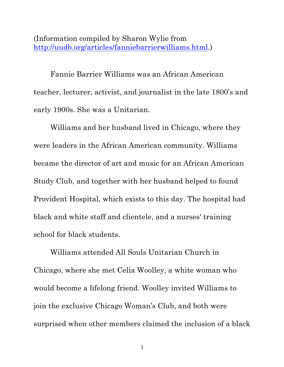(Information compiled by Sharon Wylie from http://uudb.org/articles/fanniebarrierwilliams.html.)

Fannie Barrier Williams was an African American teacher, lecturer, activist, and journalist in the late 1800's and early 1900s. She was a Unitarian.

Williams and her husband lived in Chicago, where they were leaders in the African American community. Williams became the director of art and music for an African American Study Club, and together with her husband helped to found Provident Hospital, which exists to this day. The hospital had black and white staff and clientele, and a nurses' training school for black students.

Williams attended All Souls Unitarian Church in Chicago, where she met Celia Woolley, a white woman who would become a lifelong friend. Woolley invited Williams to join the exclusive Chicago Woman's Club, and both were surprised when other members claimed the inclusion of a black

<sup>1</sup>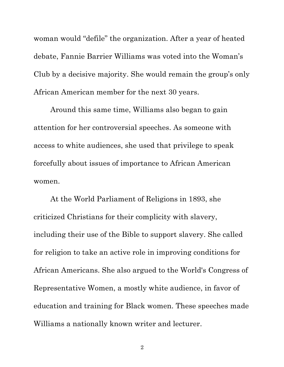woman would "defile" the organization. After a year of heated debate, Fannie Barrier Williams was voted into the Woman's Club by a decisive majority. She would remain the group's only African American member for the next 30 years.

Around this same time, Williams also began to gain attention for her controversial speeches. As someone with access to white audiences, she used that privilege to speak forcefully about issues of importance to African American women.

At the World Parliament of Religions in 1893, she criticized Christians for their complicity with slavery, including their use of the Bible to support slavery. She called for religion to take an active role in improving conditions for African Americans. She also argued to the World's Congress of Representative Women, a mostly white audience, in favor of education and training for Black women. These speeches made Williams a nationally known writer and lecturer.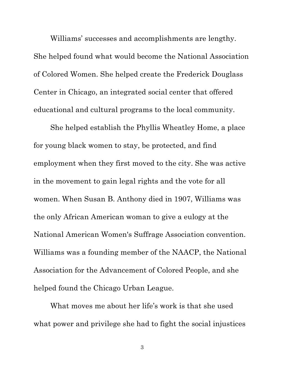Williams' successes and accomplishments are lengthy. She helped found what would become the National Association of Colored Women. She helped create the Frederick Douglass Center in Chicago, an integrated social center that offered educational and cultural programs to the local community.

She helped establish the Phyllis Wheatley Home, a place for young black women to stay, be protected, and find employment when they first moved to the city. She was active in the movement to gain legal rights and the vote for all women. When Susan B. Anthony died in 1907, Williams was the only African American woman to give a eulogy at the National American Women's Suffrage Association convention. Williams was a founding member of the NAACP, the National Association for the Advancement of Colored People, and she helped found the Chicago Urban League.

What moves me about her life's work is that she used what power and privilege she had to fight the social injustices

3